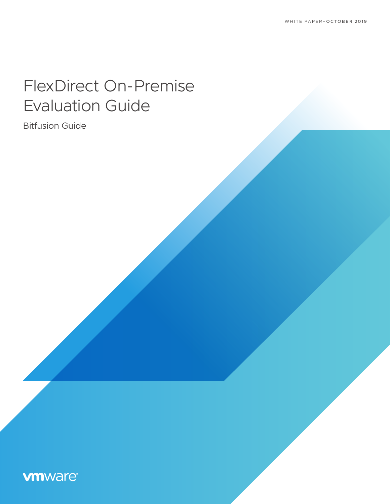# FlexDirect On-Premise Evaluation Guide

Bitfusion Guide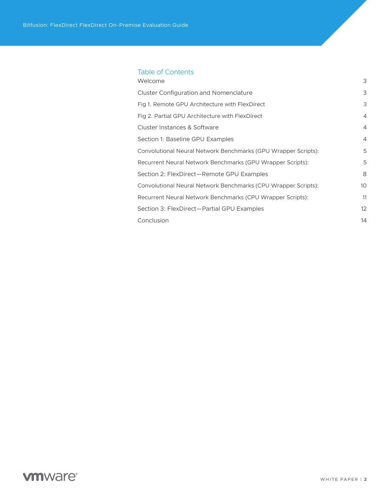## Table of Contents

| Welcome                                                        | 3              |
|----------------------------------------------------------------|----------------|
| <b>Cluster Configuration and Nomenclature</b>                  | 3              |
| Fig 1. Remote GPU Architecture with FlexDirect                 | 3              |
| Fig 2. Partial GPU Architecture with FlexDirect                | $\overline{4}$ |
| Cluster Instances & Software                                   | $\overline{4}$ |
| Section 1: Baseline GPU Examples                               | $\overline{4}$ |
| Convolutional Neural Network Benchmarks (GPU Wrapper Scripts): | 5              |
| Recurrent Neural Network Benchmarks (GPU Wrapper Scripts):     | 5              |
| Section 2: FlexDirect-Remote GPU Examples                      | 8              |
| Convolutional Neural Network Benchmarks (CPU Wrapper Scripts): | 10             |
| Recurrent Neural Network Benchmarks (CPU Wrapper Scripts):     | 11             |
| Section 3: FlexDirect-Partial GPU Examples                     | 12             |
| Conclusion                                                     | 14             |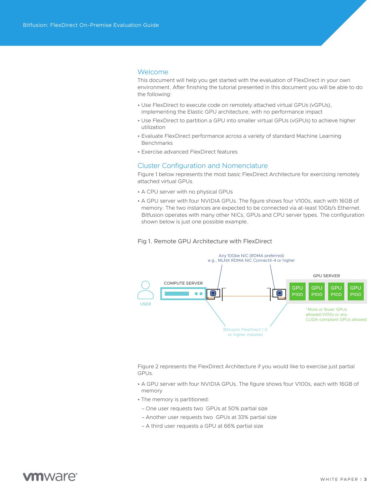### <span id="page-2-0"></span>Welcome

This document will help you get started with the evaluation of FlexDirect in your own environment. After finishing the tutorial presented in this document you will be able to do the following:

- Use FlexDirect to execute code on remotely attached virtual GPUs (vGPUs), implementing the Elastic GPU architecture, with no performance impact
- Use FlexDirect to partition a GPU into smaller virtual GPUs (vGPUs) to achieve higher utilization
- Evaluate FlexDirect performance across a variety of standard Machine Learning Benchmarks
- Exercise advanced FlexDirect features

## Cluster Configuration and Nomenclature

Figure 1 below represents the most basic FlexDirect Architecture for exercising remotely attached virtual GPUs.

- A CPU server with no physical GPUs
- A GPU server with four NVIDIA GPUs. The figure shows four V100s, each with 16GB of memory. The two instances are expected to be connected via at-least 10Gb/s Ethernet. Bitfusion operates with many other NICs, GPUs and CPU server types. The configuration shown below is just one possible example.





Figure 2 represents the FlexDirect Architecture if you would like to exercise just partial GPUs.

- A GPU server with four NVIDIA GPUs. The figure shows four V100s, each with 16GB of memory
- The memory is partitioned:
- One user requests two GPUs at 50% partial size
- Another user requests two GPUs at 33% partial size
- A third user requests a GPU at 66% partial size

## mware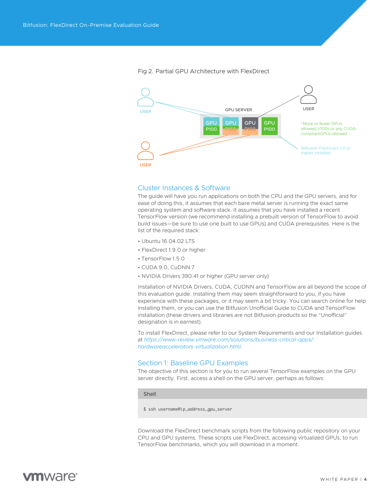<span id="page-3-0"></span>

Fig 2. Partial GPU Architecture with FlexDirect

## Cluster Instances & Software

The guide will have you run applications on both the CPU and the GPU servers, and for ease of doing this, it assumes that each bare metal server is running the exact same operating system and software stack. It assumes that you have installed a recent TensorFlow version (we recommend installing a prebuilt version of TensorFlow to avoid build issues—be sure to use one built to use GPUs) and CUDA prerequisites. Here is the list of the required stack:

- Ubuntu 16.04.02 LTS
- FlexDirect 1.9.0 or higher
- TensorFlow 1.5.0
- CUDA 9.0, CuDNN 7
- NVIDIA Drivers 390.41 or higher (GPU server only)

Installation of NVIDIA Drivers, CUDA, CUDNN and TensorFlow are all beyond the scope of this evaluation guide. Installing them may seem straightforward to you, if you have experience with these packages, or it may seem a bit tricky. You can search online for help installing them, or you can use the Bitfusion Unofficial Guide to CUDA and TensorFlow installation (these drivers and libraries are not Bitfusion products so the "Unofficial" designation is in earnest).

To install FlexDirect, please refer to our System Requirements and our Installation guides at *[https://www-review.vmware.com/solutions/business-critical-apps/](https://www-review.vmware.com/solutions/business-critical-apps/hardwareaccelerators-virtualization.html) [hardwareaccelerators-virtualization.html](https://www-review.vmware.com/solutions/business-critical-apps/hardwareaccelerators-virtualization.html)*.

## Section 1: Baseline GPU Examples

The objective of this section is for you to run several TensorFlow examples on the GPU server directly. First, access a shell on the GPU server, perhaps as follows:

Shell

\$ ssh username@ip\_address\_gpu\_server

Download the FlexDirect benchmark scripts from the following public repository on your CPU and GPU systems. These scripts use FlexDirect, accessing virtualized GPUs, to run TensorFlow benchmarks, which you will download in a moment.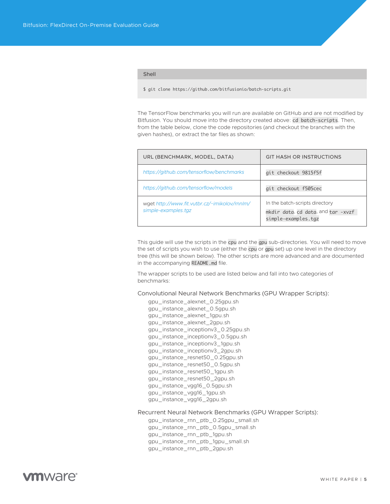<span id="page-4-0"></span>Shell

\$ git clone https://github.com/bitfusionio/batch-scripts.git

The TensorFlow benchmarks you will run are available on GitHub and are not modified by Bitfusion. You should move into the directory created above: cd batch-scripts. Then, from the table below, clone the code repositories (and checkout the branches with the given hashes), or extract the tar files as shown:

| URL (BENCHMARK, MODEL, DATA)                                         | <b>GIT HASH OR INSTRUCTIONS</b>                                                             |
|----------------------------------------------------------------------|---------------------------------------------------------------------------------------------|
| https://github.com/tensorflow/benchmarks                             | git checkout 9815f5f                                                                        |
| https://github.com/tensorflow/models                                 | git checkout f505cec                                                                        |
| wget http://www.fit.vutbr.cz/~imikolov/rnnlm/<br>simple-examples.tgz | In the batch-scripts directory<br>mkdir data, cd data, and tar -xvzf<br>simple-examples.tgz |

This guide will use the scripts in the cpu and the gpu sub-directories. You will need to move the set of scripts you wish to use (either the cpu or gpu set) up one level in the directory tree (this will be shown below). The other scripts are more advanced and are documented in the accompanying README.md file.

The wrapper scripts to be used are listed below and fall into two categories of benchmarks:

Convolutional Neural Network Benchmarks (GPU Wrapper Scripts):

 gpu\_instance\_alexnet\_0.25gpu.sh gpu\_instance\_alexnet\_0.5gpu.sh gpu\_instance\_alexnet\_1gpu.sh gpu\_instance\_alexnet\_2gpu.sh gpu\_instance\_inceptionv3\_0.25gpu.sh gpu\_instance\_inceptionv3\_0.5gpu.sh gpu\_instance\_inceptionv3\_1gpu.sh gpu\_instance\_inceptionv3\_2gpu.sh gpu\_instance\_resnet50\_0.25gpu.sh gpu\_instance\_resnet50\_0.5gpu.sh gpu\_instance\_resnet50\_1gpu.sh gpu\_instance\_resnet50\_2gpu.sh gpu\_instance\_vgg16\_0.5gpu.sh gpu\_instance\_vgg16\_1gpu.sh gpu\_instance\_vgg16\_2gpu.sh

#### Recurrent Neural Network Benchmarks (GPU Wrapper Scripts):

 gpu\_instance\_rnn\_ptb\_0.25gpu\_small.sh gpu\_instance\_rnn\_ptb\_0.5gpu\_small.sh gpu\_instance\_rnn\_ptb\_1gpu.sh gpu\_instance\_rnn\_ptb\_1gpu\_small.sh gpu\_instance\_rnn\_ptb\_2gpu.sh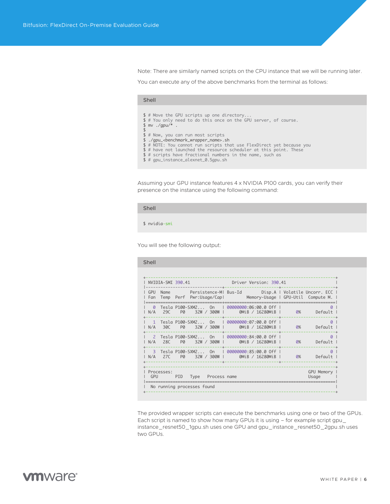Note: There are similarly named scripts on the CPU instance that we will be running later.

You can execute any of the above benchmarks from the terminal as follows:

#### Shell

- 
- \$ # Move the GPU scripts up one directory... \$ # You only need to do this once on the GPU server, of course. \$ mv ./gpu/\* .
- 
- 
- 
- \$ # Now, you can run most scripts<br>\$ ./gpu\_<benchmark\_wrapper\_name>.sh<br>\$ # NOTE: You cannot run scripts that use FlexDirect yet because you<br>\$ # have not launched the resource scheduler at this point. These
- 
- \$# scripts have fractional numbers in the name, such as
- \$ # gpu\_instance\_alexnet\_0.5gpu.sh

Assuming your GPU instance features 4 x NVIDIA P100 cards, you can verify their presence on the instance using the following command:

#### Shell

\$ nvidia-smi

You will see the following output:

| NVIDIA-SMI 390.41 Driver Version: 390.41 |                       |                                                                                                                                   |  |                        |
|------------------------------------------|-----------------------|-----------------------------------------------------------------------------------------------------------------------------------|--|------------------------|
|                                          |                       | GPU Name Persistence-MI Bus-Id Disp.A   Volatile Uncorr. ECC  <br>Fan Temp Perf Pwr:Usage/Capl Memory-Usage   GPU-Util Compute M. |  |                        |
|                                          |                       | Tesla P100-SXM2 On   00000000:06:00.0 Off  <br>N/A 29C P0 32W/300Wl 0MiB/16280MiBl 0% Default I                                   |  | $\Omega$               |
|                                          |                       | 1 Tesla P100-SXM2 On   00000000:07:00.0 Off  <br>N/A 30C P0 32W / 300W   0MiB / 16280MiB                                          |  | $\Omega$<br>0% Default |
|                                          | -----------           | 2 Tesla P100-SXM2 On   00000000:84:00.0 Off  <br>N/A 28C P0 32W/300W   0MiB/16280MiB                                              |  | $\Omega$<br>Default    |
|                                          |                       | 3   Tesla P100-SXM2   On    I  00000000:85:00.0  Off  I<br>N/A 27C P0 32W/300W   0MiB/16280MiB   0% Default                       |  | 0                      |
| Processes:<br>GPU <b>Santa</b>           | PID Type Process name |                                                                                                                                   |  | GPU Memory  <br>Usage  |

The provided wrapper scripts can execute the benchmarks using one or two of the GPUs. Each script is named to show how many GPUs it is using – for example script gpu\_ instance\_resnet50\_1gpu.sh uses one GPU and gpu\_instance\_resnet50\_2gpu.sh uses two GPUs.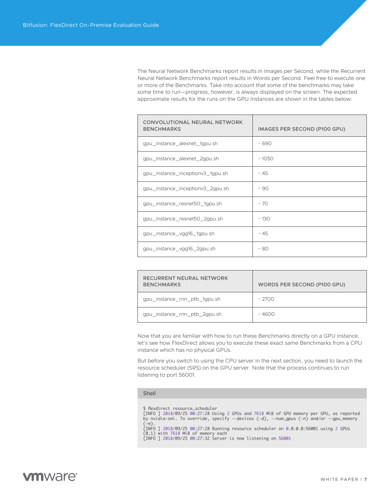The Neural Network Benchmarks report results in Images per Second, while the Recurrent Neural Network Benchmarks report results in Words per Second. Feel free to execute one or more of the Benchmarks. Take into account that some of the benchmarks may take some time to run—progress, however, is always displayed on the screen. The expected approximate results for the runs on the GPU Instances are shown in the tables below:

| CONVOLUTIONAL NEURAL NETWORK<br><b>BENCHMARKS</b> | IMAGES PER SECOND (P100 GPU) |
|---------------------------------------------------|------------------------------|
| gpu_instance_alexnet_1gpu.sh                      | ~ 690                        |
| gpu_instance_alexnet_2gpu.sh                      | ~1050                        |
| gpu_instance_inceptionv3_1gpu.sh                  | ~1.45                        |
| gpu_instance_inceptionv3_2gpu.sh                  | ~100                         |
| gpu_instance_resnet50_1gpu.sh                     | ~170                         |
| gpu_instance_resnet50_2gpu.sh                     | ~130                         |
| gpu_instance_vgg16_1gpu.sh                        | ~1.45                        |
| gpu_instance_vgg16_2gpu.sh                        | ~ 80                         |

| RECURRENT NEURAL NETWORK<br><b>BENCHMARKS</b> | WORDS PER SECOND (P100 GPU) |
|-----------------------------------------------|-----------------------------|
| gpu_instance_rnn_ptb_1gpu.sh                  | ~ 2700                      |
| gpu_instance_rnn_ptb_2gpu.sh                  | ~ 4600                      |

Now that you are familiar with how to run these Benchmarks directly on a GPU instance, let's see how FlexDirect allows you to execute these exact same Benchmarks from a CPU instance which has no physical GPUs.

But before you switch to using the CPU server in the next section, you need to launch the resource scheduler (SRS) on the GPU server. Note that the process continues to run listening to port 56001.

#### Shell

\$ flexdirect resource\_scheduler [INFO ] 2018/09/25 00:27:28 Using 2 GPUs and 7618 MiB of GPU memory per GPU, as reported by nvidia-smi. To override, specify --devices (-d), --num\_gpus (-n) and/or --gpu\_memory  $(-m)$ [INFO ] 2018/09/25 00:27:28 Running resource scheduler on 0.0.0.0:56001 using 2 GPUs (0,1) with 7618 MiB of memory each [INFO ] 2018/09/25 00:27:32 Server is now listening on 56001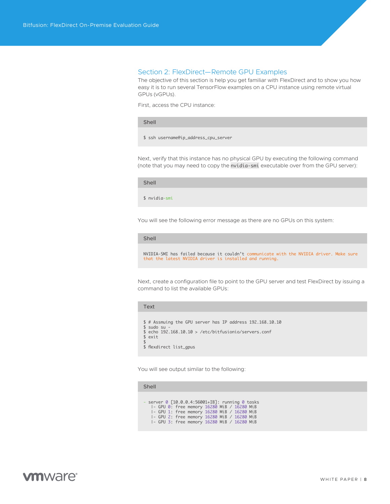## <span id="page-7-0"></span>Section 2: FlexDirect—Remote GPU Examples

The objective of this section is help you get familiar with FlexDirect and to show you how easy it is to run several TensorFlow examples on a CPU instance using remote virtual GPUs (vGPUs).

First, access the CPU instance:

Shell

\$ ssh username@ip\_address\_cpu\_server

Next, verify that this instance has no physical GPU by executing the following command (note that you may need to copy the nvidia-smi executable over from the GPU server):

Shell

\$ nvidia-smi

You will see the following error message as there are no GPUs on this system:

Shell

NVIDIA-SMI has failed because it couldn't communicate with the NVIDIA driver. Make sure that the latest NVIDIA driver is installed and running.

Next, create a configuration file to point to the GPU server and test FlexDirect by issuing a command to list the available GPUs:

Text

```
$ # Assmuing the GPU server has IP address 192.168.10.10
$ sudo su
$ echo 192.168.10.10 > /etc/bitfusionio/servers.conf
$ exit
$ 
$ flexdirect list_gpus
```
You will see output similar to the following:

#### Shell

- server 0 [10.0.0.4:56001+IB]: running 0 tasks |- GPU 0: free memory 16280 MiB / 16280 MiB |- GPU 1: free memory 16280 MiB / 16280 MiB |- GPU 2: free memory 16280 MiB / 16280 MiB |- GPU 3: free memory 16280 MiB / 16280 MiB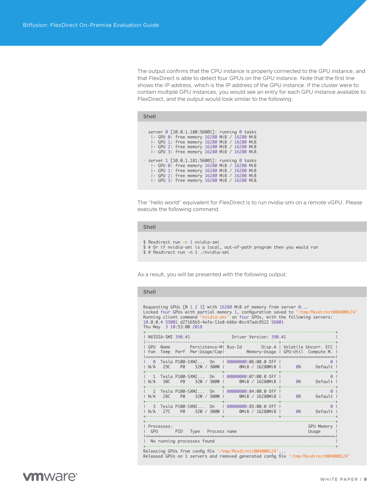The output confirms that the CPU instance is properly connected to the GPU instance, and that FlexDirect is able to detect four GPUs on the GPU instance. Note that the first line shows the IP address, which is the IP address of the GPU instance. If the cluster were to contain multiple GPU instances, you would see an entry for each GPU instance available to FlexDirect, and the output would look similar to the following:

| - server 0 [10.0.1.180:56001]: running 0 tasks |
|------------------------------------------------|
| I- GPU 0: free memory 16280 MiB / 16280 MiB    |
| I- GPU 1: free memory 16280 MiB / 16280 MiB    |
| I- GPU 2: free memory 16280 MiB / 16280 MiB    |
| I- GPU 3: free memory 16280 MiB / 16280 MiB    |
|                                                |
| - server 1 [10.0.1.181:56001]: running 0 tasks |
| I- GPU 0: free memory 16280 MiB / 16280 MiB    |
| I- GPU 1: free memory 16280 MiB / 16280 MiB    |
| I- GPU 2: free memory 16280 MiB / 16280 MiB    |
| I- GPU 3: free memory 16280 MiB / 16280 MiB    |

The "hello world" equivalent for FlexDirect is to run nvidia-smi on a remote vGPU. Please execute the following command.

#### Shell

Shell

```
$ flexdirect run -n 1 nvidia-smi
```
- \$ # Or if nvidia-smi is a local, out-of-path program then you would run
- \$ # flexdirect run -n 1 ./nvidia-smi

As a result, you will be presented with the following output:

#### Shell

```
Requesting GPUs [0 1 2 3] with 16280 MiB of memory from server 0...<br>Locked four GPUs with partial memory 1, configuration saved to '/tmp/flexdirect004000124'<br>Running client command 'nvidia-smi' on four GPUs, with the follo
```

| NVIDIA-SMI 390.41                                                                       | Driver Version: 390.41                                                                      |                           |
|-----------------------------------------------------------------------------------------|---------------------------------------------------------------------------------------------|---------------------------|
| $\sqrt{5}$<br>Name<br>Temp Perf Pwr:Usage/Capl<br>l Fan                                 | Persistence-MI Bus-Id Disp.A   Volatile Uncorr. ECC  <br>Memory-Usage   GPU-Util Compute M. |                           |
| $\Omega$<br>$Testa P100-SXM2$ On $\Box$<br>29C<br>32W / 300W<br>N/A<br>PØ               | 00000000:06:00.0 Off I<br>0MiB / 16280MiB                                                   | $\Omega$<br>Default<br>0% |
| Tesla P100-SXM2 On<br>$1 \quad 1$<br>N/A<br>30C<br>32W / 300W<br>PØ                     | 00000000:07:00.0 Off I<br>0MiB / 16280MiB                                                   | $\Omega$<br>Default<br>0% |
| $\overline{\phantom{0}}$<br>Tesla P100-SXM2 On<br>N/A<br>28C<br>32W / 300W<br><b>PØ</b> | 00000000:84:00.0 Off I<br>0MiB / 16280MiB                                                   | $\Omega$<br>Default<br>0% |
| Tesla P100-SXM2 On<br>$\overline{\mathbf{3}}$<br>N/A<br>27C<br>32W / 300W L<br>PØ       | 00000000:85:00.0 Off I<br>0MiB / 16280MiB                                                   | $\Omega$<br>Default<br>0% |
| Processes:<br>GPU<br>PID<br>Type Process name                                           |                                                                                             | GPU Memory<br>Usage       |
| No running processes found                                                              |                                                                                             |                           |

+-----------------------------------------------------------------------------+ Releasing GPUs from config file '/tmp/flexdirect004000124'...

Released GPUs on 1 servers and removed generated config file '/tmp/flexdirect004000124'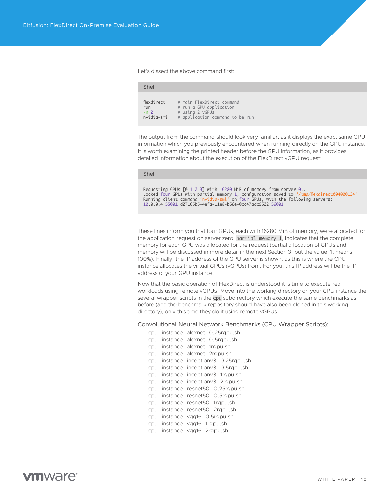<span id="page-9-0"></span>Let's dissect the above command first:

| flexdirect | # main FlexDirect command       |
|------------|---------------------------------|
| run        | # run a GPU application         |
| $-n2$      | # using 2 vGPUs                 |
| nvidia-smi | # application command to be run |

The output from the command should look very familiar, as it displays the exact same GPU information which you previously encountered when running directly on the GPU instance. It is worth examining the printed header before the GPU information, as it provides detailed information about the execution of the FlexDirect vGPU request:

#### Shell

Shell

Requesting GPUs [0 1 2 3] with 16280 MiB of memory from server 0... Locked four GPUs with partial memory 1, configuration saved to '/tmp/flexdirect004000124' Running client command 'nvidia-smi' on four GPUs, with the following servers: 10.0.0.4 55001 d27165b5-4efa-11e8-b66e-0cc47adc9522 56001

These lines inform you that four GPUs, each with 16280 MiB of memory, were allocated for the application request on server zero. partial memory 1, indicates that the complete memory for each GPU was allocated for the request (partial allocation of GPUs and memory will be discussed in more detail in the next Section 3, but the value, 1, means 100%). Finally, the IP address of the GPU server is shown, as this is where the CPU instance allocates the virtual GPUs (vGPUs) from. For you, this IP address will be the IP address of your GPU instance.

Now that the basic operation of FlexDirect is understood it is time to execute real workloads using remote vGPUs. Move into the working directory on your CPU instance the several wrapper scripts in the cpu subdirectory which execute the same benchmarks as before (and the benchmark repository should have also been cloned in this working directory), only this time they do it using remote vGPUs:

Convolutional Neural Network Benchmarks (CPU Wrapper Scripts):

 cpu\_instance\_alexnet\_0.25rgpu.sh cpu\_instance\_alexnet\_0.5rgpu.sh cpu\_instance\_alexnet\_1rgpu.sh cpu\_instance\_alexnet\_2rgpu.sh cpu\_instance\_inceptionv3\_0.25rgpu.sh cpu\_instance\_inceptionv3\_0.5rgpu.sh cpu\_instance\_inceptionv3\_1rgpu.sh cpu\_instance\_inceptionv3\_2rgpu.sh cpu\_instance\_resnet50\_0.25rgpu.sh cpu\_instance\_resnet50\_0.5rgpu.sh cpu\_instance\_resnet50\_1rgpu.sh cpu\_instance\_resnet50\_2rgpu.sh cpu\_instance\_vgg16\_0.5rgpu.sh cpu\_instance\_vgg16\_1rgpu.sh cpu\_instance\_vgg16\_2rgpu.sh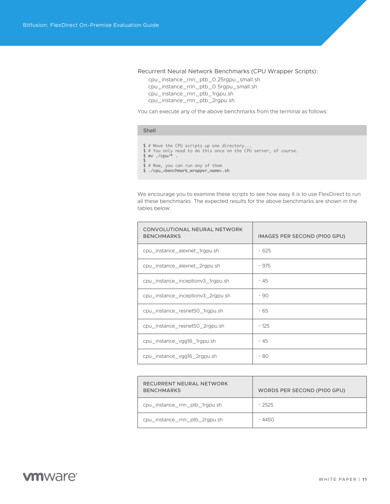<span id="page-10-0"></span>Recurrent Neural Network Benchmarks (CPU Wrapper Scripts):

 cpu\_instance\_rnn\_ptb\_0.25rgpu\_small.sh cpu\_instance\_rnn\_ptb\_0.5rgpu\_small.sh cpu\_instance\_rnn\_ptb\_1rgpu.sh cpu\_instance\_rnn\_ptb\_2rgpu.sh

You can execute any of the above benchmarks from the terminal as follows:

### Shell

- \$ # Move the CPU scripts up one directory... \$ # You only need to do this once on the CPU server, of course. \$ mv ./cpu/\* .  $\triangleleft$ \$ # Now, you can run any of them
- \$ ./cpu\_<benchmark\_wrapper\_name>.sh

We encourage you to examine these scripts to see how easy it is to use FlexDirect to run all these benchmarks. The expected results for the above benchmarks are shown in the tables below:

| CONVOLUTIONAL NEURAL NETWORK<br><b>BENCHMARKS</b> | IMAGES PER SECOND (P100 GPU) |
|---------------------------------------------------|------------------------------|
| cpu_instance_alexnet_1rgpu.sh                     | ~525                         |
| cpu_instance_alexnet_2rgpu.sh                     | ~1075                        |
| cpu_instance_inceptionv3_1rgpu.sh                 | ~1.45                        |
| cpu_instance_inceptionv3_2rgpu.sh                 | ~100                         |
| cpu_instance_resnet50_1rgpu.sh                    | ~1.65                        |
| cpu_instance_resnet50_2rgpu.sh                    | ~125                         |
| cpu_instance_vgg16_1rgpu.sh                       | ~1.45                        |
| cpu_instance_vgg16_2rgpu.sh                       | ~80                          |

| RECURRENT NEURAL NETWORK<br><b>BENCHMARKS</b> | WORDS PER SECOND (P100 GPU) |
|-----------------------------------------------|-----------------------------|
| cpu_instance_rnn_ptb_1rgpu.sh                 | ~2525                       |
| cpu_instance_rnn_ptb_2rgpu.sh                 | ~ 4450                      |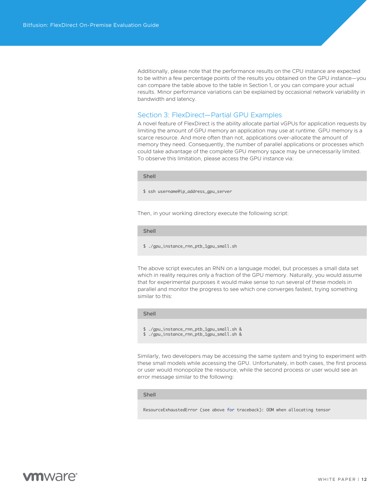<span id="page-11-0"></span>Additionally, please note that the performance results on the CPU instance are expected to be within a few percentage points of the results you obtained on the GPU instance—you can compare the table above to the table in Section 1, or you can compare your actual results. Minor performance variations can be explained by occasional network variability in bandwidth and latency.

## Section 3: FlexDirect—Partial GPU Examples

A novel feature of FlexDirect is the ability allocate partial vGPUs for application requests by limiting the amount of GPU memory an application may use at runtime. GPU memory is a scarce resource. And more often than not, applications over-allocate the amount of memory they need. Consequently, the number of parallel applications or processes which could take advantage of the complete GPU memory space may be unnecessarily limited. To observe this limitation, please access the GPU instance via:

#### Shell

\$ ssh username@ip\_address\_gpu\_server

Then, in your working directory execute the following script:

## Shell

\$ ./gpu\_instance\_rnn\_ptb\_1gpu\_small.sh

The above script executes an RNN on a language model, but processes a small data set which in reality requires only a fraction of the GPU memory. Naturally, you would assume that for experimental purposes it would make sense to run several of these models in parallel and monitor the progress to see which one converges fastest, trying something similar to this:

#### Shell

\$ ./gpu\_instance\_rnn\_ptb\_1gpu\_small.sh &

\$ ./gpu\_instance\_rnn\_ptb\_1gpu\_small.sh &

Similarly, two developers may be accessing the same system and trying to experiment with these small models while accessing the GPU. Unfortunately, in both cases, the first process or user would monopolize the resource, while the second process or user would see an error message similar to the following:

#### Shell

ResourceExhaustedError (see above for traceback): OOM when allocating tensor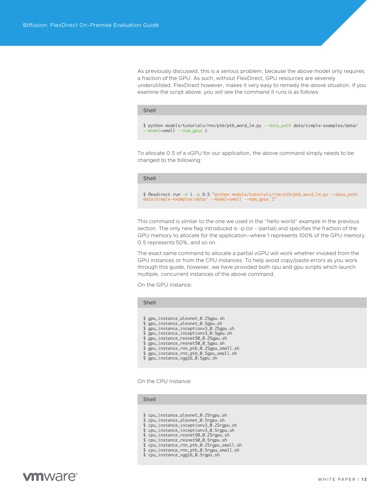As previously discussed, this is a serious problem, because the above model only requires a fraction of the GPU. As such, without FlexDirect, GPU resources are severely underutilized. FlexDirect however, makes it very easy to remedy the above situation. If you examine the script above, you will see the command it runs is as follows:

#### Shell

\$ python models/tutorials/rnn/ptb/ptb\_word\_lm.py --data\_path data/simple-examples/data/ nodel=small --num\_gpus 1

To allocate 0.5 of a vGPU for our application, the above command simply needs to be changed to the following:

#### Shell

\$ flexdirect run -n 1 -p 0.5 "python models/tutorials/rnn/ptb/ptb\_word\_lm.py --data\_path data/simple-examples/data/ --model=small --num\_gpus 1"

This command is similar to the one we used in the "hello world" example in the previous section. The only new flag introduced is -p (or --partial) and specifies the fraction of the GPU memory to allocate for the application–where 1 represents 100% of the GPU memory, 0.5 represents 50%, and so on.

The exact same command to allocate a partial vGPU will work whether invoked from the GPU instances or from the CPU instances. To help avoid copy/paste errors as you work through this guide, however, we have provided both cpu and gpu scripts which launch multiple, concurrent instances of the above command.

On the GPU Instance:

#### Shell

- \$ gpu\_instance\_alexnet\_0.25gpu.sh
- \$ gpu\_instance\_alexnet\_0.5gpu.sh \$ gpu\_instance\_inceptionv3\_0.25gpu.sh
- \$ gpu\_instance\_inceptionv3\_0.5gpu.sh
- \$ gpu\_instance\_resnet50\_0.25gpu.sh
- \$ gpu\_instance\_resnet50\_0.5gpu.sh
- \$ gpu\_instance\_rnn\_ptb\_0.25gpu\_small.sh
- \$ gpu\_instance\_rnn\_ptb\_0.5gpu\_small.sh
- \$ gpu\_instance\_vgg16\_0.5gpu.sh

On the CPU Instance:

## Shell

- \$ cpu\_instance\_alexnet\_0.25rgpu.sh
- \$ cpu\_instance\_alexnet\_0.5rgpu.sh
- \$ cpu\_instance\_inceptionv3\_0.25rgpu.sh \$ cpu\_instance\_inceptionv3\_0.5rgpu.sh
- \$ cpu\_instance\_resnet50\_0.25rgpu.sh
- \$ cpu\_instance\_resnet50\_0.5rgpu.sh
- 
- \$ cpu\_instance\_rnn\_ptb\_0.25rgpu\_small.sh \$ cpu\_instance\_rnn\_ptb\_0.5rgpu\_small.sh
- \$ cpu\_instance\_vgg16\_0.5rgpu.sh
-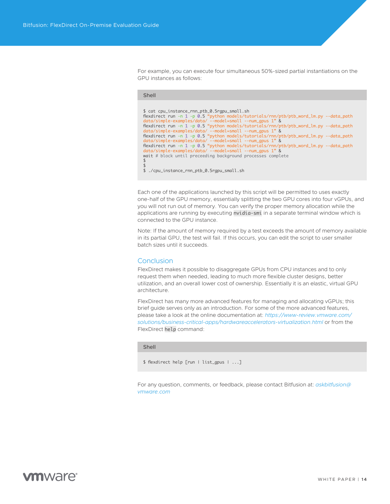<span id="page-13-0"></span>For example, you can execute four simultaneous 50%-sized partial instantiations on the GPU instances as follows:

| Shell                                                                                                                                                                                                                                                                                                                                                                                                                                                                                                                                                                                                                                                                                                                                 |  |
|---------------------------------------------------------------------------------------------------------------------------------------------------------------------------------------------------------------------------------------------------------------------------------------------------------------------------------------------------------------------------------------------------------------------------------------------------------------------------------------------------------------------------------------------------------------------------------------------------------------------------------------------------------------------------------------------------------------------------------------|--|
| \$ cat cpu_instance_rnn_ptb_0.5rgpu_small.sh<br>flexdirect run -n 1 -p 0.5 "python models/tutorials/rnn/ptb/ptb_word_lm.py --data_path<br>$data/simple-examples/data/$ --model=small --num_qpus 1" &<br>flexdirect run -n 1 -p 0.5 "python models/tutorials/rnn/ptb/ptb_word_lm.py --data_path<br>data/simple-examples/data/ --model=small --num_qpus 1" &<br>flexdirect run -n 1 -p 0.5 "python models/tutorials/rnn/ptb/ptb_word_lm.py --data_path<br>data/simple-examples/data/ --model=small --num_qpus 1" &<br>flexdirect run -n 1 -p 0.5 "python models/tutorials/rnn/ptb/ptb_word_lm.py --data_path<br>data/simple-examples/data/ --model=small --num_qpus 1" &<br>wait # block until preceeding background processes complete |  |
|                                                                                                                                                                                                                                                                                                                                                                                                                                                                                                                                                                                                                                                                                                                                       |  |
| ./cpu_instance_rnn_ptb_0.5rgpu_small.sh                                                                                                                                                                                                                                                                                                                                                                                                                                                                                                                                                                                                                                                                                               |  |

Each one of the applications launched by this script will be permitted to uses exactly one-half of the GPU memory, essentially splitting the two GPU cores into four vGPUs, and you will not run out of memory. You can verify the proper memory allocation while the applications are running by executing nvidia-smi in a separate terminal window which is connected to the GPU instance.

Note: If the amount of memory required by a test exceeds the amount of memory available in its partial GPU, the test will fail. If this occurs, you can edit the script to user smaller batch sizes until it succeeds.

## **Conclusion**

FlexDirect makes it possible to disaggregate GPUs from CPU instances and to only request them when needed, leading to much more flexible cluster designs, better utilization, and an overall lower cost of ownership. Essentially it is an elastic, virtual GPU architecture.

FlexDirect has many more advanced features for managing and allocating vGPUs; this brief guide serves only as an introduction. For some of the more advanced features, please take a look at the online documentation at: *[https://www-review.vmware.com/](https://www-review.vmware.com/solutions/business-critical-apps/hardwareaccelerators-virtualization.html) [solutions/business-critical-apps/hardwareaccelerators-virtualization.html](https://www-review.vmware.com/solutions/business-critical-apps/hardwareaccelerators-virtualization.html)* or from the FlexDirect help command:

## Shell

\$ flexdirect help [run | list\_gpus | ...]

For any question, comments, or feedback, please contact Bitfusion at: *[askbitfusion@](mailto:askbitfusion%40vmware.com?subject=) [vmware.com](mailto:askbitfusion%40vmware.com?subject=)*